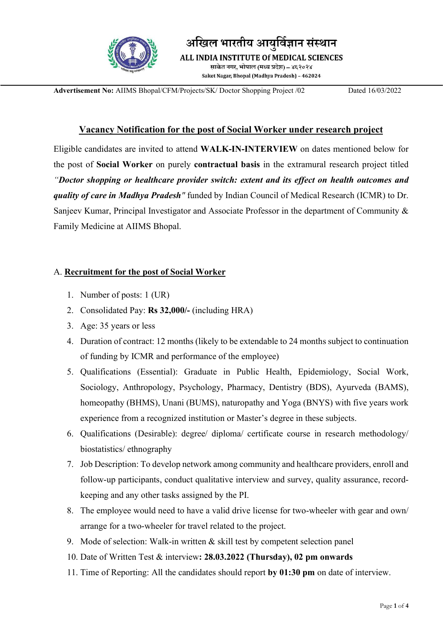

अखिल भारतीय आयुर्विज्ञान

ALL INDIA INSTITUTE Of MEDICAL SCIENCES

साकेत नगर, भोपाल (मध्य प्रदेश) – ४६२०२४ Saket Nagar, Bhopal (Madhya Pradesh) - 462024

Advertisement No: AIIMS Bhopal/CFM/Projects/SK/ Doctor Shopping Project /02 Dated 16/03/2022

## Vacancy Notification for the post of Social Worker under research project

Eligible candidates are invited to attend WALK-IN-INTERVIEW on dates mentioned below for the post of Social Worker on purely contractual basis in the extramural research project titled "Doctor shopping or healthcare provider switch: extent and its effect on health outcomes and quality of care in Madhya Pradesh" funded by Indian Council of Medical Research (ICMR) to Dr. Sanjeev Kumar, Principal Investigator and Associate Professor in the department of Community & Family Medicine at AIIMS Bhopal.

## A. Recruitment for the post of Social Worker

- 1. Number of posts: 1 (UR)
- 2. Consolidated Pay: Rs 32,000/- (including HRA)
- 3. Age: 35 years or less
- 4. Duration of contract: 12 months (likely to be extendable to 24 months subject to continuation of funding by ICMR and performance of the employee)
- 5. Qualifications (Essential): Graduate in Public Health, Epidemiology, Social Work, Sociology, Anthropology, Psychology, Pharmacy, Dentistry (BDS), Ayurveda (BAMS), homeopathy (BHMS), Unani (BUMS), naturopathy and Yoga (BNYS) with five years work experience from a recognized institution or Master's degree in these subjects.
- 6. Qualifications (Desirable): degree/ diploma/ certificate course in research methodology/ biostatistics/ ethnography
- 7. Job Description: To develop network among community and healthcare providers, enroll and follow-up participants, conduct qualitative interview and survey, quality assurance, recordkeeping and any other tasks assigned by the PI.
- 8. The employee would need to have a valid drive license for two-wheeler with gear and own/ arrange for a two-wheeler for travel related to the project.
- 9. Mode of selection: Walk-in written & skill test by competent selection panel
- 10. Date of Written Test & interview: 28.03.2022 (Thursday), 02 pm onwards
- 11. Time of Reporting: All the candidates should report by 01:30 pm on date of interview.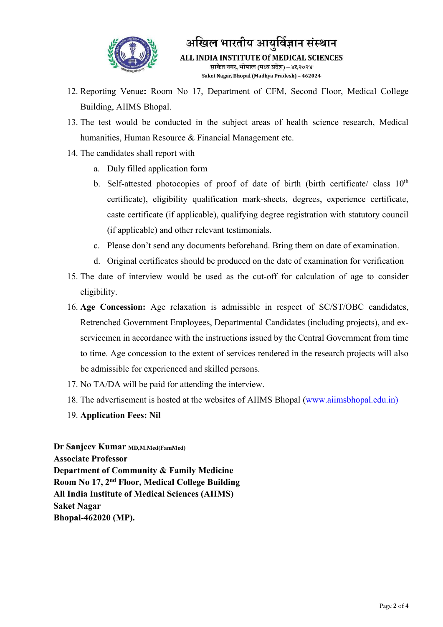

अखिल भारतीय आयुर्विज्ञान संस्थान ALL INDIA INSTITUTE Of MEDICAL SCIENCES साकेत नगर, भोपाल (मध्य प्रदेश) – ४६२०२४ Saket Nagar, Bhopal (Madhya Pradesh) - 462024

- 12. Reporting Venue: Room No 17, Department of CFM, Second Floor, Medical College Building, AIIMS Bhopal.
- 13. The test would be conducted in the subject areas of health science research, Medical humanities, Human Resource & Financial Management etc.
- 14. The candidates shall report with
	- a. Duly filled application form
	- b. Self-attested photocopies of proof of date of birth (birth certificate/ class 10<sup>th</sup> certificate), eligibility qualification mark-sheets, degrees, experience certificate, caste certificate (if applicable), qualifying degree registration with statutory council (if applicable) and other relevant testimonials.
	- c. Please don't send any documents beforehand. Bring them on date of examination.
	- d. Original certificates should be produced on the date of examination for verification
- 15. The date of interview would be used as the cut-off for calculation of age to consider eligibility.
- 16. Age Concession: Age relaxation is admissible in respect of SC/ST/OBC candidates, Retrenched Government Employees, Departmental Candidates (including projects), and exservicemen in accordance with the instructions issued by the Central Government from time to time. Age concession to the extent of services rendered in the research projects will also be admissible for experienced and skilled persons.
- 17. No TA/DA will be paid for attending the interview.
- 18. The advertisement is hosted at the websites of AIIMS Bhopal (www.aiimsbhopal.edu.in)
- 19. Application Fees: Nil

Dr Sanjeev Kumar MD, M, Med (FamMed) Associate Professor Department of Community & Family Medicine Room No 17, 2nd Floor, Medical College Building All India Institute of Medical Sciences (AIIMS) Saket Nagar Bhopal-462020 (MP).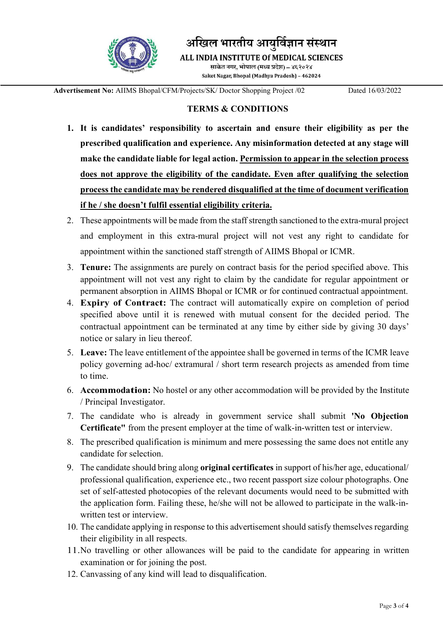

अखिल भारतीय आयुर्विज्ञान संस्थान

ALL INDIA INSTITUTE Of MEDICAL SCIENCES

साकेत नगर, भोपाल (मध्य प्रदेश) – ४६२०२४ Saket Nagar, Bhopal (Madhya Pradesh) - 462024

Advertisement No: AIIMS Bhopal/CFM/Projects/SK/ Doctor Shopping Project /02 Dated 16/03/2022

## TERMS & CONDITIONS

- 1. It is candidates' responsibility to ascertain and ensure their eligibility as per the prescribed qualification and experience. Any misinformation detected at any stage will make the candidate liable for legal action. Permission to appear in the selection process does not approve the eligibility of the candidate. Even after qualifying the selection process the candidate may be rendered disqualified at the time of document verification if he / she doesn't fulfil essential eligibility criteria.
- 2. These appointments will be made from the staff strength sanctioned to the extra-mural project and employment in this extra-mural project will not vest any right to candidate for appointment within the sanctioned staff strength of AIIMS Bhopal or ICMR.
- 3. Tenure: The assignments are purely on contract basis for the period specified above. This appointment will not vest any right to claim by the candidate for regular appointment or permanent absorption in AIIMS Bhopal or ICMR or for continued contractual appointment.
- 4. Expiry of Contract: The contract will automatically expire on completion of period specified above until it is renewed with mutual consent for the decided period. The contractual appointment can be terminated at any time by either side by giving 30 days' notice or salary in lieu thereof.
- 5. Leave: The leave entitlement of the appointee shall be governed in terms of the ICMR leave policy governing ad-hoc/ extramural / short term research projects as amended from time to time.
- 6. Accommodation: No hostel or any other accommodation will be provided by the Institute / Principal Investigator.
- 7. The candidate who is already in government service shall submit 'No Objection Certificate" from the present employer at the time of walk-in-written test or interview.
- 8. The prescribed qualification is minimum and mere possessing the same does not entitle any candidate for selection.
- 9. The candidate should bring along original certificates in support of his/her age, educational/ professional qualification, experience etc., two recent passport size colour photographs. One set of self-attested photocopies of the relevant documents would need to be submitted with the application form. Failing these, he/she will not be allowed to participate in the walk-inwritten test or interview.
- 10. The candidate applying in response to this advertisement should satisfy themselves regarding their eligibility in all respects.
- 11.No travelling or other allowances will be paid to the candidate for appearing in written examination or for joining the post.
- 12. Canvassing of any kind will lead to disqualification.